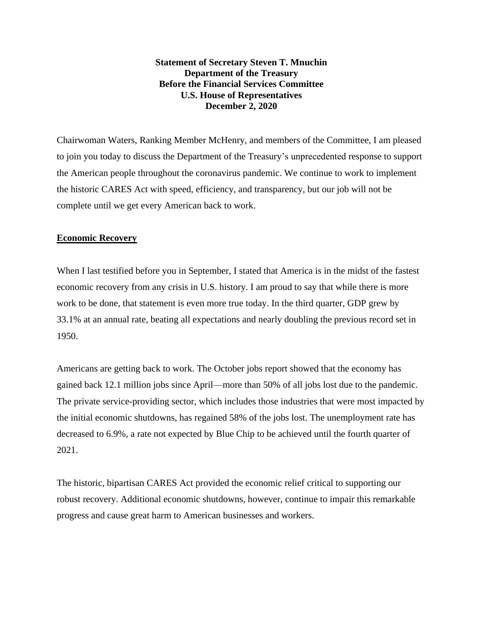**Statement of Secretary Steven T. Mnuchin Department of the Treasury Before the Financial Services Committee U.S. House of Representatives December 2, 2020**

Chairwoman Waters, Ranking Member McHenry, and members of the Committee, I am pleased to join you today to discuss the Department of the Treasury's unprecedented response to support the American people throughout the coronavirus pandemic. We continue to work to implement the historic CARES Act with speed, efficiency, and transparency, but our job will not be complete until we get every American back to work.

## **Economic Recovery**

When I last testified before you in September, I stated that America is in the midst of the fastest economic recovery from any crisis in U.S. history. I am proud to say that while there is more work to be done, that statement is even more true today. In the third quarter, GDP grew by 33.1% at an annual rate, beating all expectations and nearly doubling the previous record set in 1950.

Americans are getting back to work. The October jobs report showed that the economy has gained back 12.1 million jobs since April—more than 50% of all jobs lost due to the pandemic. The private service-providing sector, which includes those industries that were most impacted by the initial economic shutdowns, has regained 58% of the jobs lost. The unemployment rate has decreased to 6.9%, a rate not expected by Blue Chip to be achieved until the fourth quarter of 2021.

The historic, bipartisan CARES Act provided the economic relief critical to supporting our robust recovery. Additional economic shutdowns, however, continue to impair this remarkable progress and cause great harm to American businesses and workers.